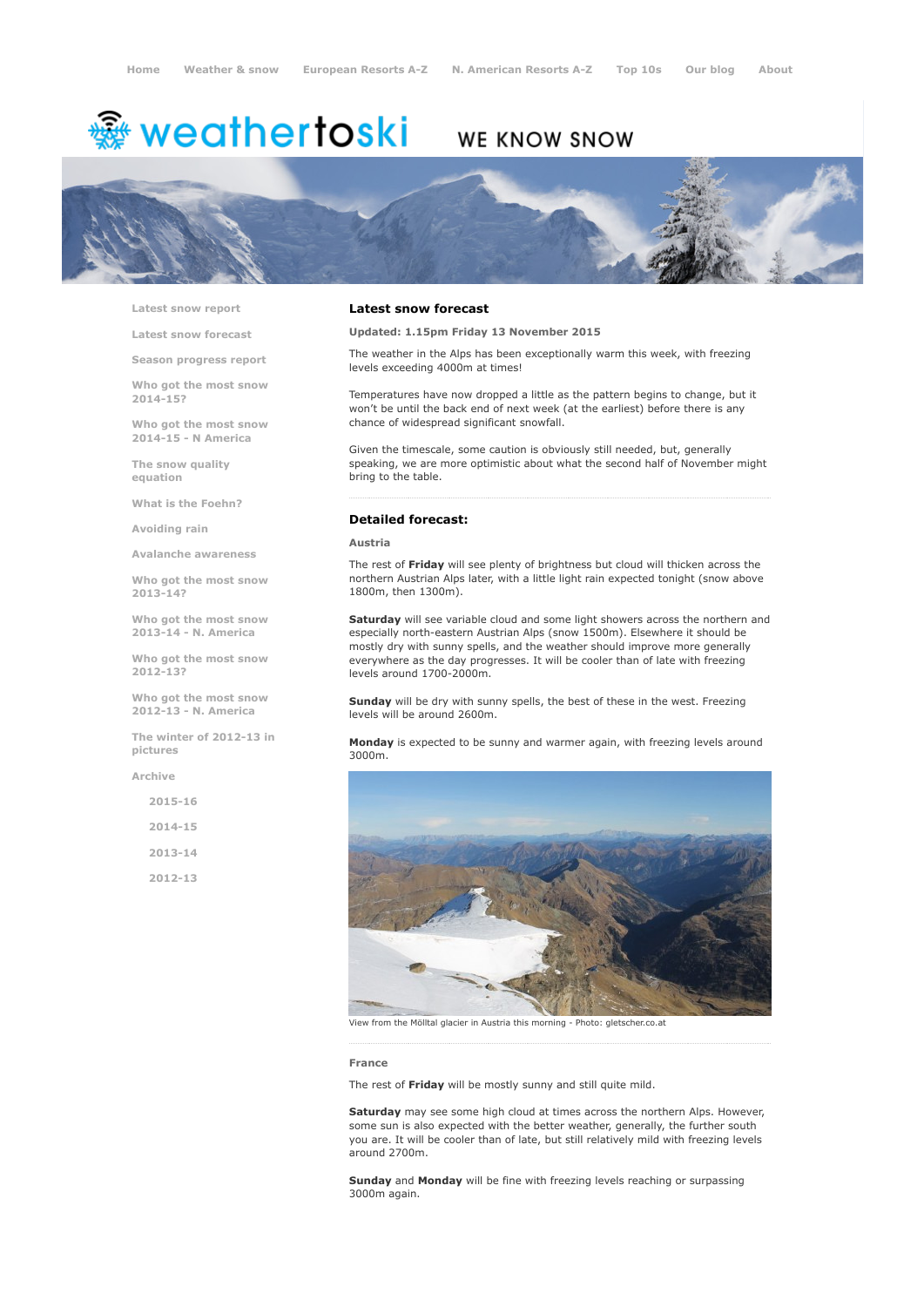# <sup>霧</sup> weathertoski

# WE KNOW SNOW



Latest snow [report](http://www.weathertoski.co.uk/weather-snow/latest-snow-report/)

Latest snow [forecast](http://www.weathertoski.co.uk/weather-snow/latest-snow-forecast/)

Season [progress](http://www.weathertoski.co.uk/weather-snow/season-progress-report/) report

Who got the most snow 2014-15?

Who got the most snow 2014-15 - N America

The snow quality [equation](http://www.weathertoski.co.uk/weather-snow/the-snow-quality-equation/)

What is the [Foehn?](http://www.weathertoski.co.uk/weather-snow/what-is-the-foehn/)

[Avoiding](http://www.weathertoski.co.uk/weather-snow/avoiding-rain/) rain

Avalanche [awareness](http://www.weathertoski.co.uk/weather-snow/avalanche-awareness/)

Who got the most snow 2013-14?

Who got the most snow 2013-14 - N. America

Who got the most snow 2012-13?

Who got the most snow 2012-13 - N. America

The winter of 2012-13 in pictures

[Archive](http://www.weathertoski.co.uk/weather-snow/archive/)

 $2015 - 16$ 2014-15 2013-14 2012-13

### Latest snow forecast

Updated: 1.15pm Friday 13 November 2015

The weather in the Alps has been exceptionally warm this week, with freezing levels exceeding 4000m at times!

Temperatures have now dropped a little as the pattern begins to change, but it won't be until the back end of next week (at the earliest) before there is any chance of widespread significant snowfall.

Given the timescale, some caution is obviously still needed, but, generally speaking, we are more optimistic about what the second half of November might bring to the table.

### Detailed forecast:

#### Austria

The rest of Friday will see plenty of brightness but cloud will thicken across the northern Austrian Alps later, with a little light rain expected tonight (snow above 1800m, then 1300m).

Saturday will see variable cloud and some light showers across the northern and especially north-eastern Austrian Alps (snow 1500m). Elsewhere it should be mostly dry with sunny spells, and the weather should improve more generally everywhere as the day progresses. It will be cooler than of late with freezing levels around 1700-2000m.

Sunday will be dry with sunny spells, the best of these in the west. Freezing levels will be around 2600m.

Monday is expected to be sunny and warmer again, with freezing levels around 3000m.



View from the Mölltal glacier in Austria this morning Photo: gletscher.co.at

#### France

The rest of Friday will be mostly sunny and still quite mild.

Saturday may see some high cloud at times across the northern Alps. However, some sun is also expected with the better weather, generally, the further south you are. It will be cooler than of late, but still relatively mild with freezing levels around 2700m.

Sunday and Monday will be fine with freezing levels reaching or surpassing 3000m again.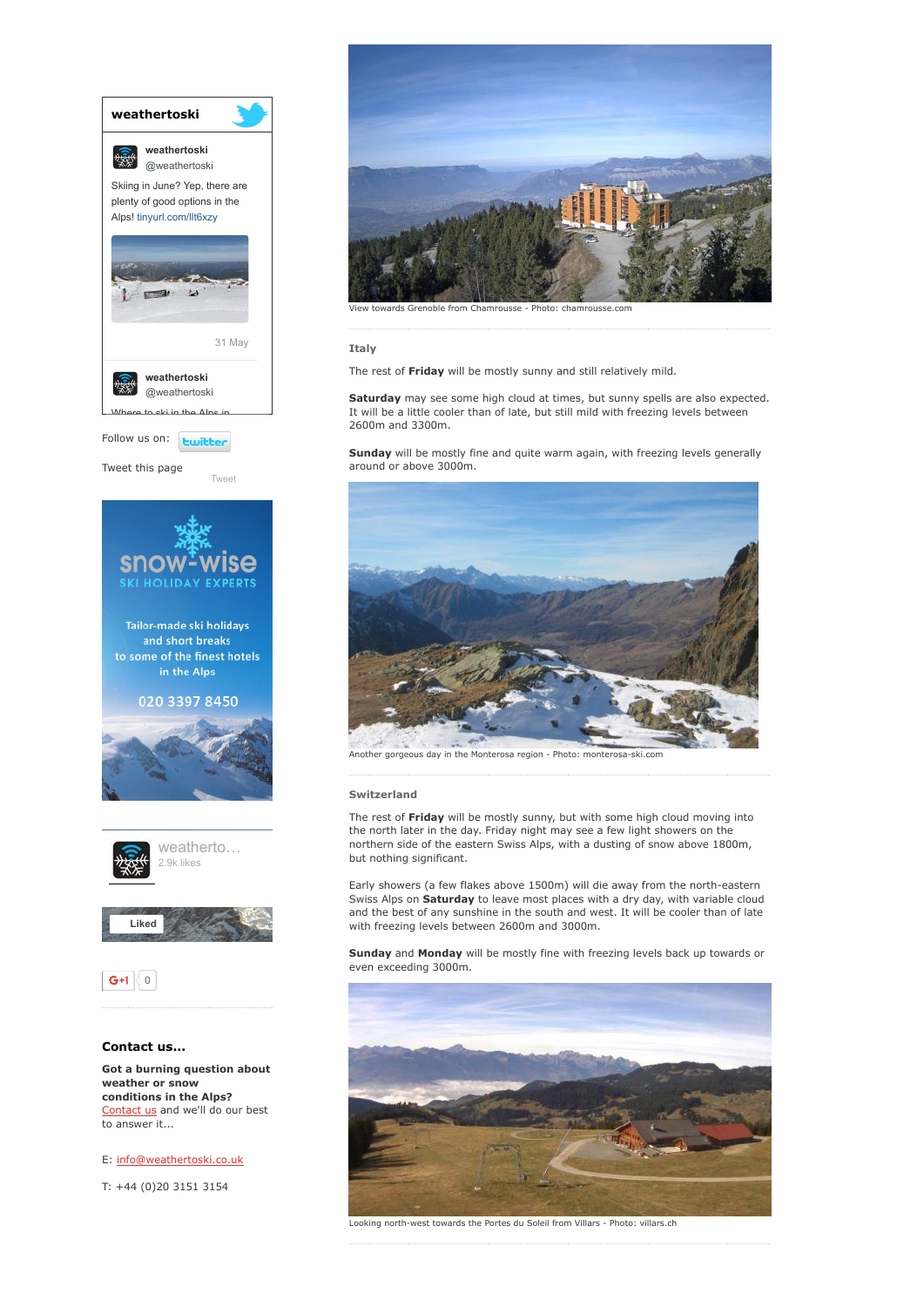

to answer it...

E: [info@weathertoski.co.uk](mailto:fraser@weathertoski.co.uk)

T: +44 (0)20 3151 3154



vards Grenoble from Chamrousse - Photo: chamr

Italy

The rest of Friday will be mostly sunny and still relatively mild.

Saturday may see some high cloud at times, but sunny spells are also expected. It will be a little cooler than of late, but still mild with freezing levels between 2600m and 3300m.

Sunday will be mostly fine and quite warm again, with freezing levels generally around or above 3000m.



Another gorgeous day in the Monterosa region - Photo: monterosa-ski.com

#### Switzerland

The rest of Friday will be mostly sunny, but with some high cloud moving into the north later in the day. Friday night may see a few light showers on the northern side of the eastern Swiss Alps, with a dusting of snow above 1800m, but nothing significant.

Early showers (a few flakes above 1500m) will die away from the north-eastern Swiss Alps on Saturday to leave most places with a dry day, with variable cloud and the best of any sunshine in the south and west. It will be cooler than of late with freezing levels between 2600m and 3000m.

Sunday and Monday will be mostly fine with freezing levels back up towards or even exceeding 3000m.



Looking north-west towards the Portes du Soleil from Villars - Photo: villars.ch